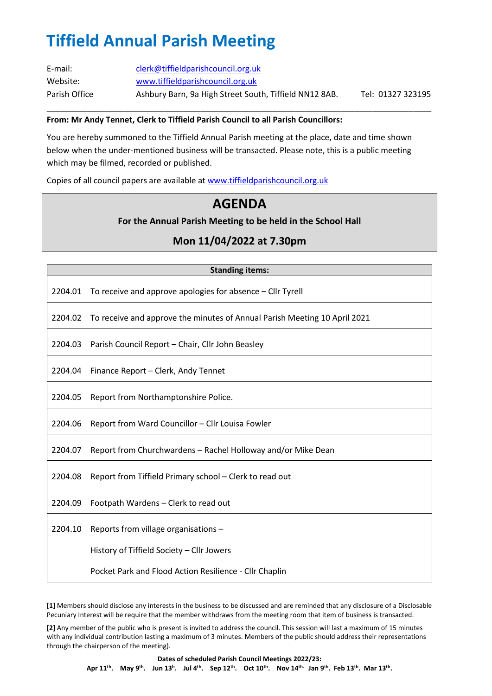# **Tiffield Annual Parish Meeting**

| E-mail:       | clerk@tiffieldparishcouncil.org.uk                     |                   |
|---------------|--------------------------------------------------------|-------------------|
| Website:      | www.tiffieldparishcouncil.org.uk                       |                   |
| Parish Office | Ashbury Barn, 9a High Street South, Tiffield NN12 8AB. | Tel: 01327 323195 |

\_\_\_\_\_\_\_\_\_\_\_\_\_\_\_\_\_\_\_\_\_\_\_\_\_\_\_\_\_\_\_\_\_\_\_\_\_\_\_\_\_\_\_\_\_\_\_\_\_\_\_\_\_\_\_\_\_\_\_\_\_\_\_\_\_\_\_\_\_\_\_\_\_\_\_\_\_\_\_\_\_\_\_\_\_

#### **From: Mr Andy Tennet, Clerk to Tiffield Parish Council to all Parish Councillors:**

You are hereby summoned to the Tiffield Annual Parish meeting at the place, date and time shown below when the under-mentioned business will be transacted. Please note, this is a public meeting which may be filmed, recorded or published.

Copies of all council papers are available at [www.tiffieldparishcouncil.org.uk](http://www.tiffieldparishcouncil.org.uk/)

### **AGENDA**

#### **For the Annual Parish Meeting to be held in the School Hall**

### **Mon 11/04/2022 at 7.30pm**

| <b>Standing items:</b> |                                                                           |  |
|------------------------|---------------------------------------------------------------------------|--|
| 2204.01                | To receive and approve apologies for absence – Cllr Tyrell                |  |
| 2204.02                | To receive and approve the minutes of Annual Parish Meeting 10 April 2021 |  |
| 2204.03                | Parish Council Report - Chair, Cllr John Beasley                          |  |
| 2204.04                | Finance Report - Clerk, Andy Tennet                                       |  |
| 2204.05                | Report from Northamptonshire Police.                                      |  |
| 2204.06                | Report from Ward Councillor - Cllr Louisa Fowler                          |  |
| 2204.07                | Report from Churchwardens - Rachel Holloway and/or Mike Dean              |  |
| 2204.08                | Report from Tiffield Primary school - Clerk to read out                   |  |
| 2204.09                | Footpath Wardens - Clerk to read out                                      |  |
| 2204.10                | Reports from village organisations -                                      |  |
|                        | History of Tiffield Society - Cllr Jowers                                 |  |
|                        | Pocket Park and Flood Action Resilience - Cllr Chaplin                    |  |

**[1]** Members should disclose any interests in the business to be discussed and are reminded that any disclosure of a Disclosable Pecuniary Interest will be require that the member withdraws from the meeting room that item of business is transacted.

**[2]** Any member of the public who is present is invited to address the council. This session will last a maximum of 15 minutes with any individual contribution lasting a maximum of 3 minutes. Members of the public should address their representations through the chairperson of the meeting).